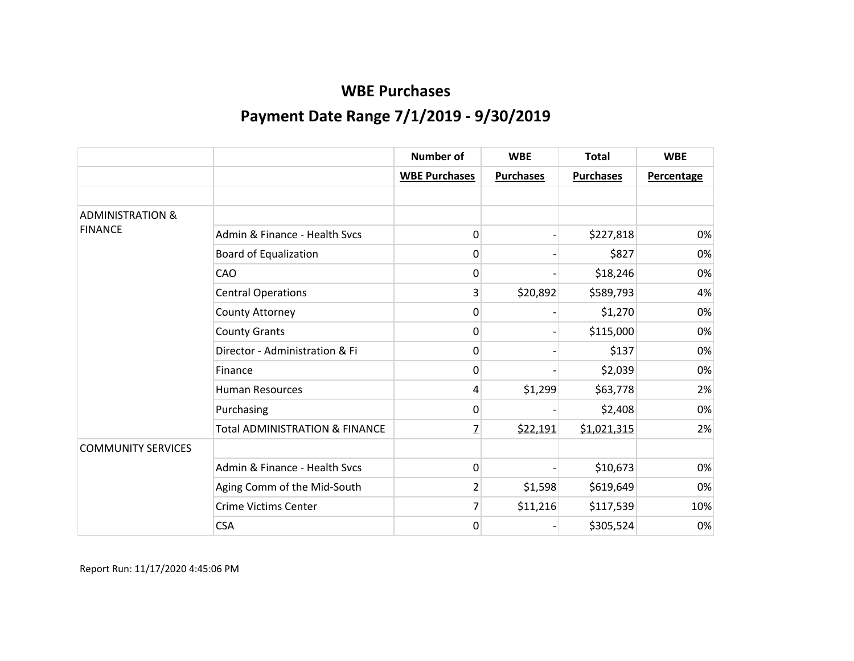|                             |                                           | <b>Number of</b>     | <b>WBE</b>       | <b>Total</b>     | <b>WBE</b>        |
|-----------------------------|-------------------------------------------|----------------------|------------------|------------------|-------------------|
|                             |                                           | <b>WBE Purchases</b> | <b>Purchases</b> | <b>Purchases</b> | <b>Percentage</b> |
|                             |                                           |                      |                  |                  |                   |
| <b>ADMINISTRATION &amp;</b> |                                           |                      |                  |                  |                   |
| <b>FINANCE</b>              | Admin & Finance - Health Svcs             | 0                    |                  | \$227,818        | 0%                |
|                             | Board of Equalization                     | 0                    |                  | \$827            | 0%                |
|                             | CAO                                       | 0                    |                  | \$18,246         | 0%                |
|                             | <b>Central Operations</b>                 | 3                    | \$20,892         | \$589,793        | 4%                |
|                             | County Attorney                           | 0                    |                  | \$1,270          | 0%                |
|                             | <b>County Grants</b>                      | 0                    |                  | \$115,000        | 0%                |
|                             | Director - Administration & Fi            | 0                    |                  | \$137            | 0%                |
|                             | Finance                                   | 0                    |                  | \$2,039          | 0%                |
|                             | <b>Human Resources</b>                    | 4                    | \$1,299          | \$63,778         | 2%                |
|                             | Purchasing                                | 0                    |                  | \$2,408          | 0%                |
|                             | <b>Total ADMINISTRATION &amp; FINANCE</b> | $\overline{L}$       | \$22,191         | \$1,021,315      | 2%                |
| <b>COMMUNITY SERVICES</b>   |                                           |                      |                  |                  |                   |
|                             | Admin & Finance - Health Svcs             | 0                    |                  | \$10,673         | 0%                |
|                             | Aging Comm of the Mid-South               | 2                    | \$1,598          | \$619,649        | 0%                |
|                             | <b>Crime Victims Center</b>               | 7                    | \$11,216         | \$117,539        | 10%               |
|                             | <b>CSA</b>                                | 0                    |                  | \$305,524        | 0%                |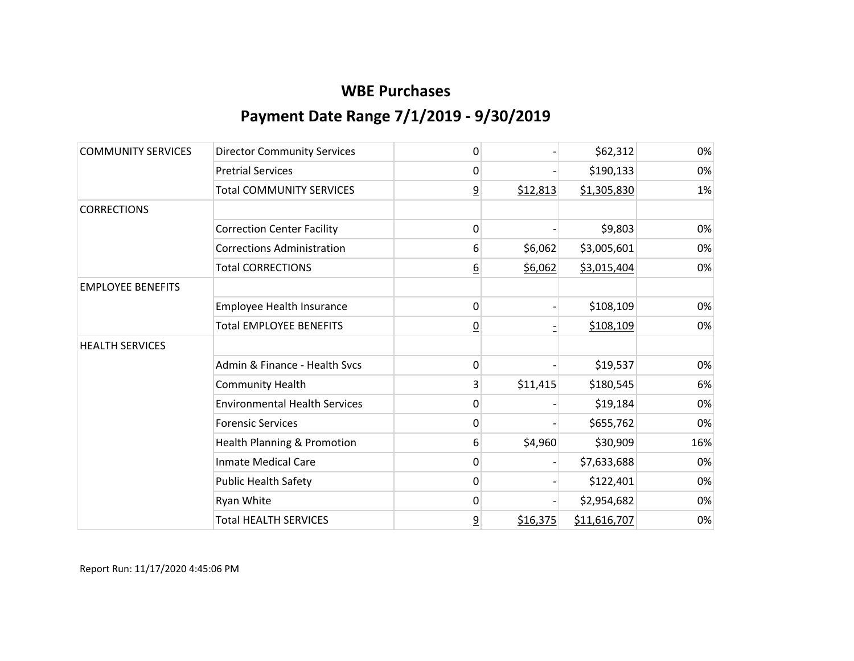| <b>COMMUNITY SERVICES</b> | <b>Director Community Services</b>   | 0              |          | \$62,312     | 0%  |
|---------------------------|--------------------------------------|----------------|----------|--------------|-----|
|                           | <b>Pretrial Services</b>             | 0              |          | \$190,133    | 0%  |
|                           | <b>Total COMMUNITY SERVICES</b>      | $\overline{6}$ | \$12,813 | \$1,305,830  | 1%  |
| <b>CORRECTIONS</b>        |                                      |                |          |              |     |
|                           | <b>Correction Center Facility</b>    | 0              |          | \$9,803      | 0%  |
|                           | <b>Corrections Administration</b>    | 6              | \$6,062  | \$3,005,601  | 0%  |
|                           | <b>Total CORRECTIONS</b>             | <u>6</u>       | \$6,062  | \$3,015,404  | 0%  |
| <b>EMPLOYEE BENEFITS</b>  |                                      |                |          |              |     |
|                           | <b>Employee Health Insurance</b>     | 0              |          | \$108,109    | 0%  |
|                           | <b>Total EMPLOYEE BENEFITS</b>       | $\overline{0}$ |          | \$108,109    | 0%  |
| <b>HEALTH SERVICES</b>    |                                      |                |          |              |     |
|                           | Admin & Finance - Health Svcs        | 0              |          | \$19,537     | 0%  |
|                           | <b>Community Health</b>              | 3              | \$11,415 | \$180,545    | 6%  |
|                           | <b>Environmental Health Services</b> | 0              |          | \$19,184     | 0%  |
|                           | <b>Forensic Services</b>             | 0              |          | \$655,762    | 0%  |
|                           | Health Planning & Promotion          | 6              | \$4,960  | \$30,909     | 16% |
|                           | <b>Inmate Medical Care</b>           | 0              |          | \$7,633,688  | 0%  |
|                           | <b>Public Health Safety</b>          | 0              |          | \$122,401    | 0%  |
|                           | Ryan White                           | 0              |          | \$2,954,682  | 0%  |
|                           | <b>Total HEALTH SERVICES</b>         | $\overline{a}$ | \$16,375 | \$11,616,707 | 0%  |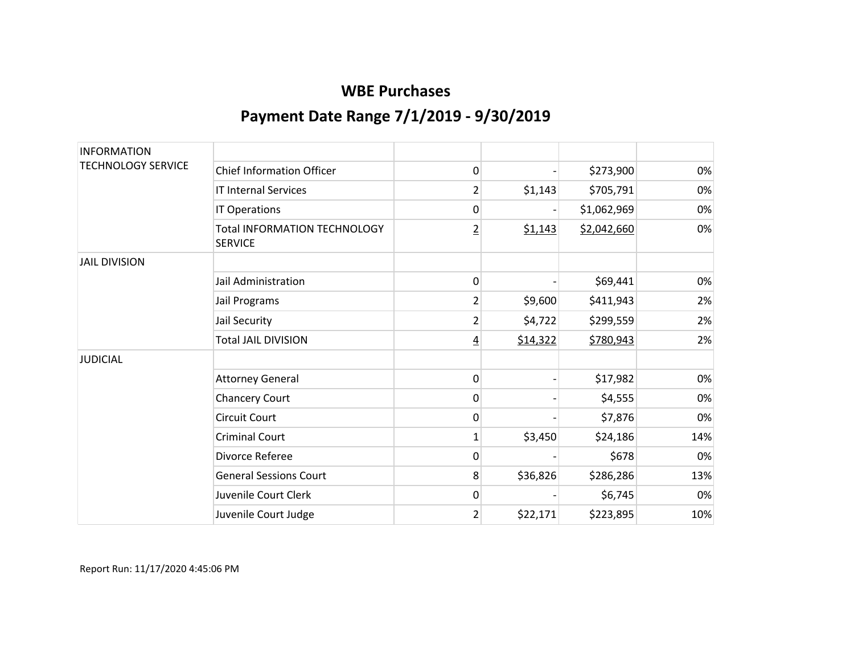| <b>INFORMATION</b>        |                                                       |                |          |             |     |
|---------------------------|-------------------------------------------------------|----------------|----------|-------------|-----|
| <b>TECHNOLOGY SERVICE</b> | <b>Chief Information Officer</b>                      | 0              |          | \$273,900   | 0%  |
|                           | <b>IT Internal Services</b>                           | 2              | \$1,143  | \$705,791   | 0%  |
|                           | <b>IT Operations</b>                                  | 0              |          | \$1,062,969 | 0%  |
|                           | <b>Total INFORMATION TECHNOLOGY</b><br><b>SERVICE</b> | $\overline{2}$ | \$1,143  | \$2,042,660 | 0%  |
| <b>JAIL DIVISION</b>      |                                                       |                |          |             |     |
|                           | Jail Administration                                   | 0              |          | \$69,441    | 0%  |
|                           | Jail Programs                                         | 2              | \$9,600  | \$411,943   | 2%  |
|                           | Jail Security                                         | $\overline{2}$ | \$4,722  | \$299,559   | 2%  |
|                           | <b>Total JAIL DIVISION</b>                            | <u>4</u>       | \$14,322 | \$780,943   | 2%  |
| <b>JUDICIAL</b>           |                                                       |                |          |             |     |
|                           | <b>Attorney General</b>                               | 0              |          | \$17,982    | 0%  |
|                           | <b>Chancery Court</b>                                 | 0              |          | \$4,555     | 0%  |
|                           | <b>Circuit Court</b>                                  | 0              |          | \$7,876     | 0%  |
|                           | <b>Criminal Court</b>                                 | $\mathbf{1}$   | \$3,450  | \$24,186    | 14% |
|                           | Divorce Referee                                       | 0              |          | \$678       | 0%  |
|                           | <b>General Sessions Court</b>                         | 8              | \$36,826 | \$286,286   | 13% |
|                           | Juvenile Court Clerk                                  | 0              |          | \$6,745     | 0%  |
|                           | Juvenile Court Judge                                  | $\overline{2}$ | \$22,171 | \$223,895   | 10% |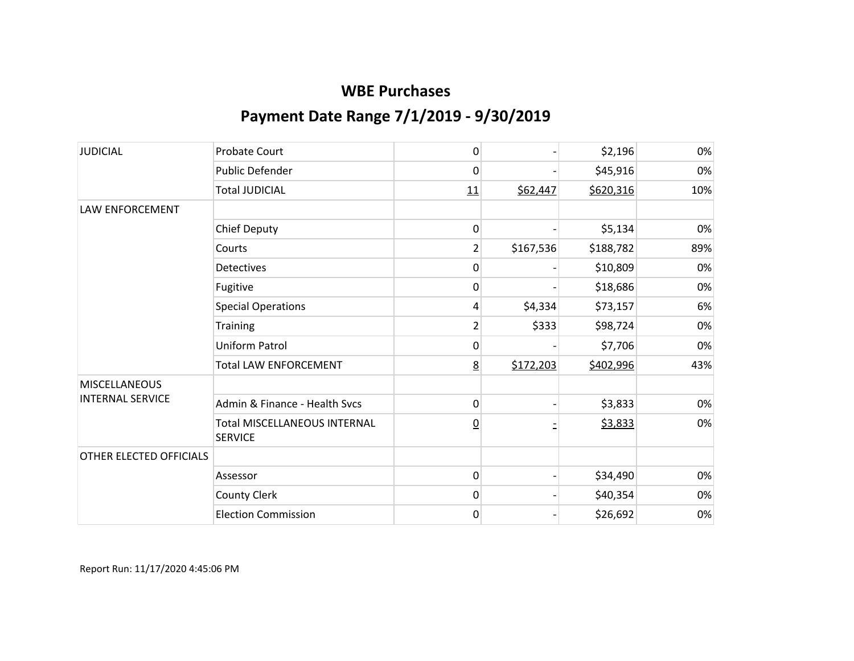| <b>JUDICIAL</b>         | <b>Probate Court</b>                                  | 0               |           | \$2,196   | 0%  |
|-------------------------|-------------------------------------------------------|-----------------|-----------|-----------|-----|
|                         | <b>Public Defender</b>                                | 0               |           | \$45,916  | 0%  |
|                         | <b>Total JUDICIAL</b>                                 | 11              | \$62,447  | \$620,316 | 10% |
| LAW ENFORCEMENT         |                                                       |                 |           |           |     |
|                         | <b>Chief Deputy</b>                                   | 0               |           | \$5,134   | 0%  |
|                         | Courts                                                | $\overline{2}$  | \$167,536 | \$188,782 | 89% |
|                         | <b>Detectives</b>                                     | 0               |           | \$10,809  | 0%  |
|                         | Fugitive                                              | 0               |           | \$18,686  | 0%  |
|                         | <b>Special Operations</b>                             | 4               | \$4,334   | \$73,157  | 6%  |
|                         | <b>Training</b>                                       | $\overline{2}$  | \$333     | \$98,724  | 0%  |
|                         | <b>Uniform Patrol</b>                                 | 0               |           | \$7,706   | 0%  |
|                         | <b>Total LAW ENFORCEMENT</b>                          | 8               | \$172,203 | \$402,996 | 43% |
| <b>MISCELLANEOUS</b>    |                                                       |                 |           |           |     |
| <b>INTERNAL SERVICE</b> | Admin & Finance - Health Svcs                         | 0               |           | \$3,833   | 0%  |
|                         | <b>Total MISCELLANEOUS INTERNAL</b><br><b>SERVICE</b> | $\underline{0}$ |           | \$3,833   | 0%  |
| OTHER ELECTED OFFICIALS |                                                       |                 |           |           |     |
|                         | Assessor                                              | 0               |           | \$34,490  | 0%  |
|                         | <b>County Clerk</b>                                   | 0               |           | \$40,354  | 0%  |
|                         | <b>Election Commission</b>                            | 0               |           | \$26,692  | 0%  |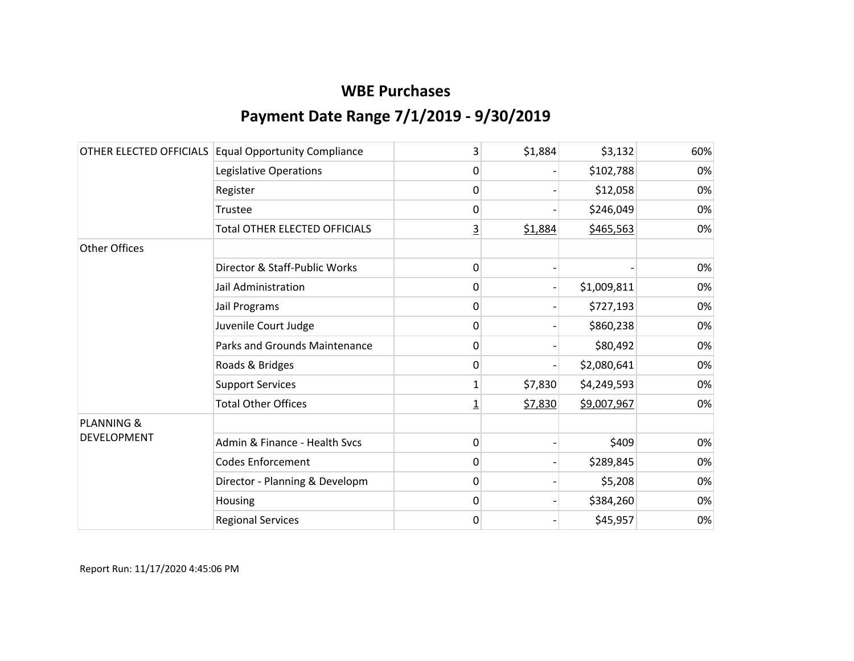|                       | OTHER ELECTED OFFICIALS Equal Opportunity Compliance | 3        | \$1,884 | \$3,132     | 60% |
|-----------------------|------------------------------------------------------|----------|---------|-------------|-----|
|                       | Legislative Operations                               | 0        |         | \$102,788   | 0%  |
|                       | Register                                             | 0        |         | \$12,058    | 0%  |
|                       | Trustee                                              | 0        |         | \$246,049   | 0%  |
|                       | <b>Total OTHER ELECTED OFFICIALS</b>                 | 3        | \$1,884 | \$465,563   | 0%  |
| <b>Other Offices</b>  |                                                      |          |         |             |     |
|                       | Director & Staff-Public Works                        | 0        |         |             | 0%  |
|                       | Jail Administration                                  | 0        |         | \$1,009,811 | 0%  |
|                       | Jail Programs                                        | 0        |         | \$727,193   | 0%  |
|                       | Juvenile Court Judge                                 | 0        |         | \$860,238   | 0%  |
|                       | Parks and Grounds Maintenance                        | 0        |         | \$80,492    | 0%  |
|                       | Roads & Bridges                                      | 0        |         | \$2,080,641 | 0%  |
|                       | <b>Support Services</b>                              | 1        | \$7,830 | \$4,249,593 | 0%  |
|                       | <b>Total Other Offices</b>                           | <u>1</u> | \$7,830 | \$9,007,967 | 0%  |
| <b>PLANNING &amp;</b> |                                                      |          |         |             |     |
| DEVELOPMENT           | Admin & Finance - Health Svcs                        | 0        |         | \$409       | 0%  |
|                       | <b>Codes Enforcement</b>                             | 0        |         | \$289,845   | 0%  |
|                       | Director - Planning & Developm                       | 0        |         | \$5,208     | 0%  |
|                       | Housing                                              | 0        |         | \$384,260   | 0%  |
|                       | <b>Regional Services</b>                             | 0        |         | \$45,957    | 0%  |